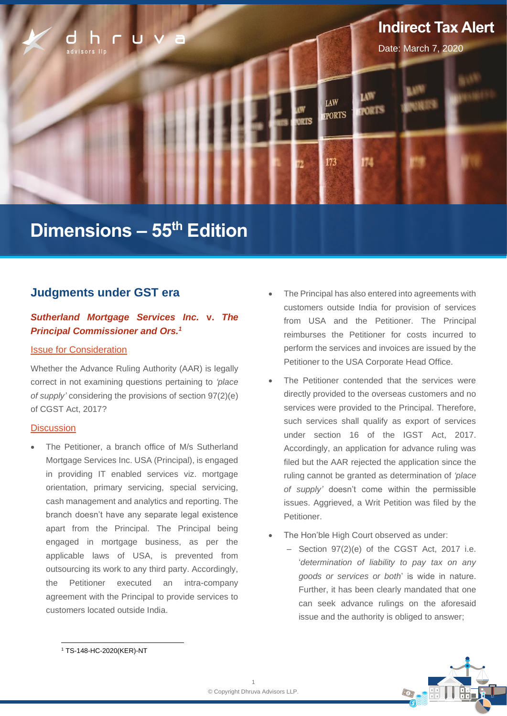

# **Dimensions – 55th Edition**

# **Judgments under GST era**

## *Sutherland Mortgage Services Inc.* **v.** *The Principal Commissioner and Ors. 1*

## Issue for Consideration

Whether the Advance Ruling Authority (AAR) is legally correct in not examining questions pertaining to *'place of supply'* considering the provisions of section 97(2)(e) of CGST Act, 2017?

#### **Discussion**

The Petitioner, a branch office of M/s Sutherland Mortgage Services Inc. USA (Principal), is engaged in providing IT enabled services viz. mortgage orientation, primary servicing, special servicing, cash management and analytics and reporting. The branch doesn't have any separate legal existence apart from the Principal. The Principal being engaged in mortgage business, as per the applicable laws of USA, is prevented from outsourcing its work to any third party. Accordingly, the Petitioner executed an intra-company agreement with the Principal to provide services to customers located outside India.

- The Principal has also entered into agreements with customers outside India for provision of services from USA and the Petitioner. The Principal reimburses the Petitioner for costs incurred to perform the services and invoices are issued by the Petitioner to the USA Corporate Head Office.
- The Petitioner contended that the services were directly provided to the overseas customers and no services were provided to the Principal. Therefore, such services shall qualify as export of services under section 16 of the IGST Act, 2017. Accordingly, an application for advance ruling was filed but the AAR rejected the application since the ruling cannot be granted as determination of *'place of supply'* doesn't come within the permissible issues. Aggrieved, a Writ Petition was filed by the Petitioner.
- The Hon'ble High Court observed as under:
	- $-$  Section 97(2)(e) of the CGST Act, 2017 i.e. '*determination of liability to pay tax on any goods or services or both*' is wide in nature. Further, it has been clearly mandated that one can seek advance rulings on the aforesaid issue and the authority is obliged to answer;



<sup>1</sup> TS-148-HC-2020(KER)-NT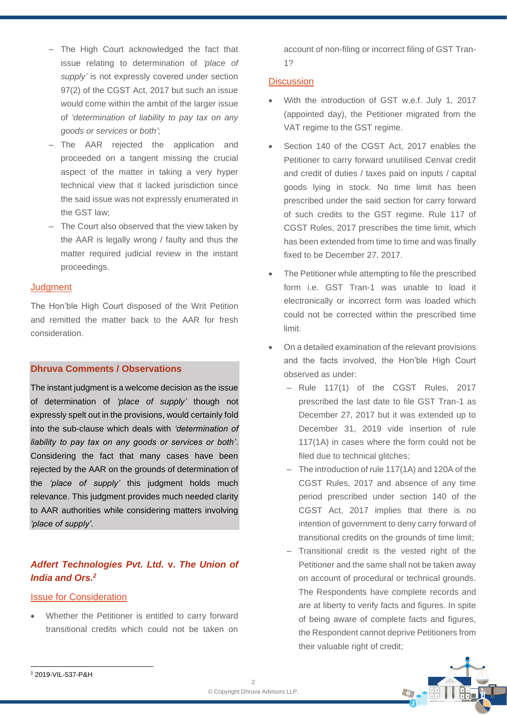- The High Court acknowledged the fact that issue relating to determination of *'place of supply'* is not expressly covered under section 97(2) of the CGST Act, 2017 but such an issue would come within the ambit of the larger issue of *'determination of liability to pay tax on any goods or services or both'*;
- ‒ The AAR rejected the application and proceeded on a tangent missing the crucial aspect of the matter in taking a very hyper technical view that it lacked jurisdiction since the said issue was not expressly enumerated in the GST law;
- The Court also observed that the view taken by the AAR is legally wrong / faulty and thus the matter required judicial review in the instant proceedings.

#### **Judgment**

The Hon'ble High Court disposed of the Writ Petition and remitted the matter back to the AAR for fresh consideration.

## **Dhruva Comments / Observations**

The instant judgment is a welcome decision as the issue of determination of *'place of supply'* though not expressly spelt out in the provisions, would certainly fold into the sub-clause which deals with *'determination of liability to pay tax on any goods or services or both'*. Considering the fact that many cases have been rejected by the AAR on the grounds of determination of the *'place of supply'* this judgment holds much relevance. This judgment provides much needed clarity to AAR authorities while considering matters involving *'place of supply'*.

# *Adfert Technologies Pvt. Ltd.* **v.** *The Union of India and Ors. 2*

#### Issue for Consideration

• Whether the Petitioner is entitled to carry forward transitional credits which could not be taken on account of non-filing or incorrect filing of GST Tran-1?

## **Discussion**

- With the introduction of GST w.e.f. July 1, 2017 (appointed day), the Petitioner migrated from the VAT regime to the GST regime.
- Section 140 of the CGST Act, 2017 enables the Petitioner to carry forward unutilised Cenvat credit and credit of duties / taxes paid on inputs / capital goods lying in stock. No time limit has been prescribed under the said section for carry forward of such credits to the GST regime. Rule 117 of CGST Rules, 2017 prescribes the time limit, which has been extended from time to time and was finally fixed to be December 27, 2017.
- The Petitioner while attempting to file the prescribed form i.e. GST Tran-1 was unable to load it electronically or incorrect form was loaded which could not be corrected within the prescribed time limit.
- On a detailed examination of the relevant provisions and the facts involved, the Hon'ble High Court observed as under:
	- Rule 117(1) of the CGST Rules, 2017 prescribed the last date to file GST Tran-1 as December 27, 2017 but it was extended up to December 31, 2019 vide insertion of rule 117(1A) in cases where the form could not be filed due to technical glitches;
	- The introduction of rule 117(1A) and 120A of the CGST Rules, 2017 and absence of any time period prescribed under section 140 of the CGST Act, 2017 implies that there is no intention of government to deny carry forward of transitional credits on the grounds of time limit;
	- ‒ Transitional credit is the vested right of the Petitioner and the same shall not be taken away on account of procedural or technical grounds. The Respondents have complete records and are at liberty to verify facts and figures. In spite of being aware of complete facts and figures, the Respondent cannot deprive Petitioners from their valuable right of credit;

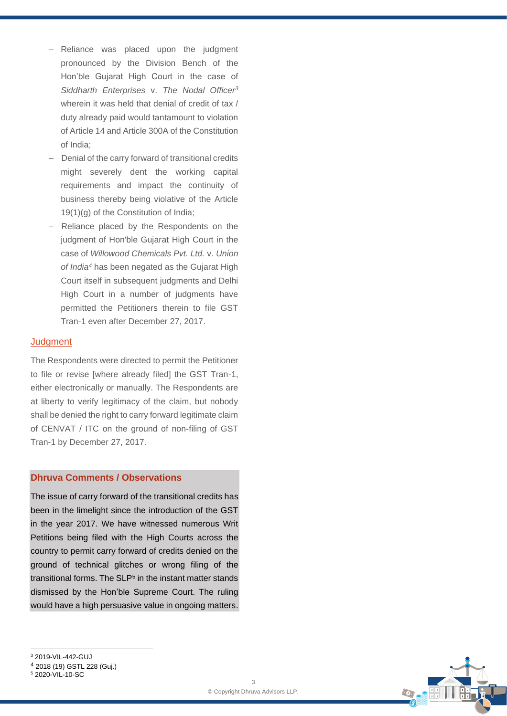- Reliance was placed upon the judgment pronounced by the Division Bench of the Hon'ble Gujarat High Court in the case of *Siddharth Enterprises* v. *The Nodal Officer<sup>3</sup>* wherein it was held that denial of credit of tax / duty already paid would tantamount to violation of Article 14 and Article 300A of the Constitution of India;
- Denial of the carry forward of transitional credits might severely dent the working capital requirements and impact the continuity of business thereby being violative of the Article 19(1)(g) of the Constitution of India;
- ‒ Reliance placed by the Respondents on the judgment of Hon'ble Gujarat High Court in the case of *Willowood Chemicals Pvt. Ltd.* v. *Union of India<sup>4</sup>* has been negated as the Gujarat High Court itself in subsequent judgments and Delhi High Court in a number of judgments have permitted the Petitioners therein to file GST Tran-1 even after December 27, 2017.

#### **Judgment**

The Respondents were directed to permit the Petitioner to file or revise [where already filed] the GST Tran-1, either electronically or manually. The Respondents are at liberty to verify legitimacy of the claim, but nobody shall be denied the right to carry forward legitimate claim of CENVAT / ITC on the ground of non-filing of GST Tran-1 by December 27, 2017.

#### **Dhruva Comments / Observations**

The issue of carry forward of the transitional credits has been in the limelight since the introduction of the GST in the year 2017. We have witnessed numerous Writ Petitions being filed with the High Courts across the country to permit carry forward of credits denied on the ground of technical glitches or wrong filing of the transitional forms. The SLP<sup>5</sup> in the instant matter stands dismissed by the Hon'ble Supreme Court. The ruling would have a high persuasive value in ongoing matters.



<sup>5</sup> 2020-VIL-10-SC